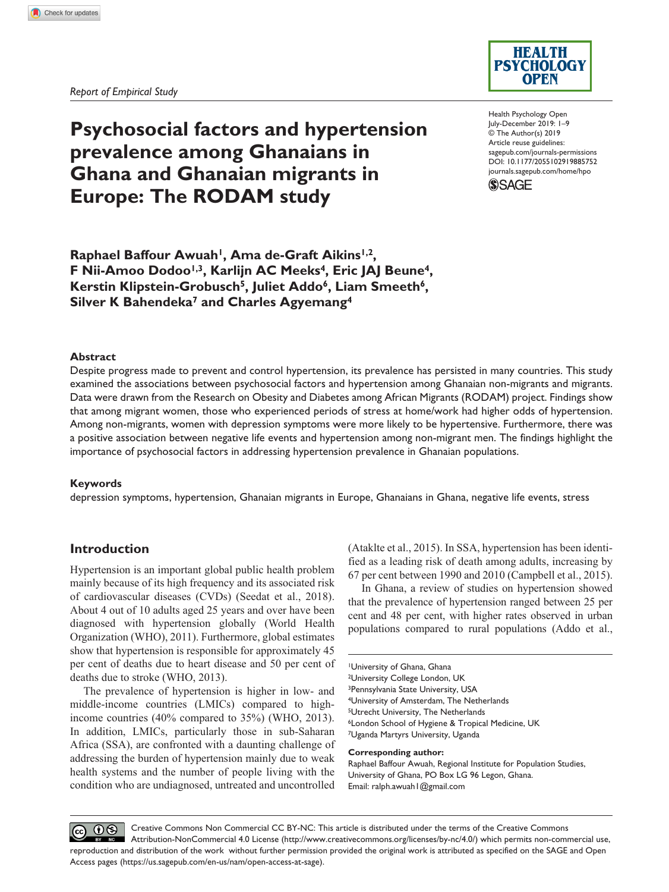

# **Psychosocial factors and hypertension prevalence among Ghanaians in Ghana and Ghanaian migrants in Europe: The RODAM study**

DOI: 10.1177/2055102919885752 Health Psychology Open July-December 2019: 1–9 © The Author(s) 2019 Article reuse guidelines: [sagepub.com/journals-permissions](https://uk.sagepub.com/en-gb/journals-permissions) [journals.sagepub.com/home/hpo](https://journals.sagepub.com/home/hpo)



Raphael Baffour Awuah<sup>1</sup>, Ama de-Graft Aikins<sup>1,2</sup>, **F Nii-Amoo Dodoo1,3, Karlijn AC Meeks4, Eric JAJ Beune4,**  Kerstin Klipstein-Grobusch<sup>5</sup>, Juliet Addo<sup>6</sup>, Liam Smeeth<sup>6</sup>, **Silver K Bahendeka7 and Charles Agyemang4**

## **Abstract**

Despite progress made to prevent and control hypertension, its prevalence has persisted in many countries. This study examined the associations between psychosocial factors and hypertension among Ghanaian non-migrants and migrants. Data were drawn from the Research on Obesity and Diabetes among African Migrants (RODAM) project. Findings show that among migrant women, those who experienced periods of stress at home/work had higher odds of hypertension. Among non-migrants, women with depression symptoms were more likely to be hypertensive. Furthermore, there was a positive association between negative life events and hypertension among non-migrant men. The findings highlight the importance of psychosocial factors in addressing hypertension prevalence in Ghanaian populations.

#### **Keywords**

depression symptoms, hypertension, Ghanaian migrants in Europe, Ghanaians in Ghana, negative life events, stress

## **Introduction**

Hypertension is an important global public health problem mainly because of its high frequency and its associated risk of cardiovascular diseases (CVDs) (Seedat et al., 2018). About 4 out of 10 adults aged 25 years and over have been diagnosed with hypertension globally (World Health Organization (WHO), 2011). Furthermore, global estimates show that hypertension is responsible for approximately 45 per cent of deaths due to heart disease and 50 per cent of deaths due to stroke (WHO, 2013).

The prevalence of hypertension is higher in low- and middle-income countries (LMICs) compared to highincome countries (40% compared to 35%) (WHO, 2013). In addition, LMICs, particularly those in sub-Saharan Africa (SSA), are confronted with a daunting challenge of addressing the burden of hypertension mainly due to weak health systems and the number of people living with the condition who are undiagnosed, untreated and uncontrolled

(Ataklte et al., 2015). In SSA, hypertension has been identified as a leading risk of death among adults, increasing by 67 per cent between 1990 and 2010 (Campbell et al., 2015).

In Ghana, a review of studies on hypertension showed that the prevalence of hypertension ranged between 25 per cent and 48 per cent, with higher rates observed in urban populations compared to rural populations (Addo et al.,

1University of Ghana, Ghana 2University College London, UK 3Pennsylvania State University, USA 4University of Amsterdam, The Netherlands 5Utrecht University, The Netherlands 6London School of Hygiene & Tropical Medicine, UK 7Uganda Martyrs University, Uganda

**Corresponding author:**

Raphael Baffour Awuah, Regional Institute for Population Studies, University of Ghana, PO Box LG 96 Legon, Ghana. Email: [ralph.awuah1@gmail.com](mailto:ralph.awuah1@gmail.com)

 $\odot$  $\circledcirc$ Creative Commons Non Commercial CC BY-NC: This article is distributed under the terms of the Creative Commons Attribution-NonCommercial 4.0 License (http://www.creativecommons.org/licenses/by-nc/4.0/) which permits non-commercial use, reproduction and distribution of the work without further permission provided the original work is attributed as specified on the SAGE and Open Access pages (https://us.sagepub.com/en-us/nam/open-access-at-sage).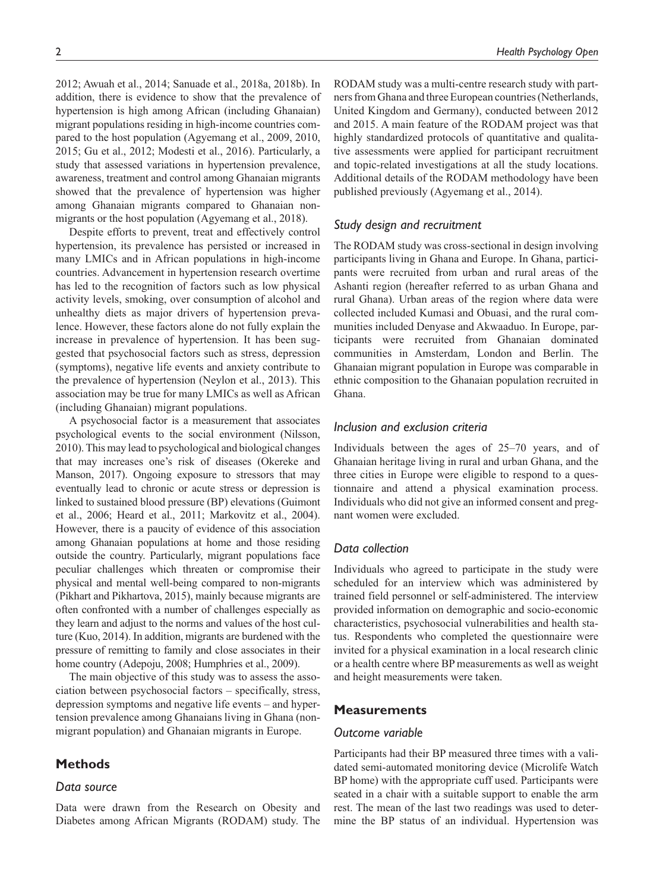2012; Awuah et al., 2014; Sanuade et al., 2018a, 2018b). In addition, there is evidence to show that the prevalence of hypertension is high among African (including Ghanaian) migrant populations residing in high-income countries compared to the host population (Agyemang et al., 2009, 2010, 2015; Gu et al., 2012; Modesti et al., 2016). Particularly, a study that assessed variations in hypertension prevalence, awareness, treatment and control among Ghanaian migrants showed that the prevalence of hypertension was higher among Ghanaian migrants compared to Ghanaian nonmigrants or the host population (Agyemang et al., 2018).

Despite efforts to prevent, treat and effectively control hypertension, its prevalence has persisted or increased in many LMICs and in African populations in high-income countries. Advancement in hypertension research overtime has led to the recognition of factors such as low physical activity levels, smoking, over consumption of alcohol and unhealthy diets as major drivers of hypertension prevalence. However, these factors alone do not fully explain the increase in prevalence of hypertension. It has been suggested that psychosocial factors such as stress, depression (symptoms), negative life events and anxiety contribute to the prevalence of hypertension (Neylon et al., 2013). This association may be true for many LMICs as well as African (including Ghanaian) migrant populations.

A psychosocial factor is a measurement that associates psychological events to the social environment (Nilsson, 2010). This may lead to psychological and biological changes that may increases one's risk of diseases (Okereke and Manson, 2017). Ongoing exposure to stressors that may eventually lead to chronic or acute stress or depression is linked to sustained blood pressure (BP) elevations (Guimont et al., 2006; Heard et al., 2011; Markovitz et al., 2004). However, there is a paucity of evidence of this association among Ghanaian populations at home and those residing outside the country. Particularly, migrant populations face peculiar challenges which threaten or compromise their physical and mental well-being compared to non-migrants (Pikhart and Pikhartova, 2015), mainly because migrants are often confronted with a number of challenges especially as they learn and adjust to the norms and values of the host culture (Kuo, 2014). In addition, migrants are burdened with the pressure of remitting to family and close associates in their home country (Adepoju, 2008; Humphries et al., 2009).

The main objective of this study was to assess the association between psychosocial factors – specifically, stress, depression symptoms and negative life events – and hypertension prevalence among Ghanaians living in Ghana (nonmigrant population) and Ghanaian migrants in Europe.

## **Methods**

#### *Data source*

Data were drawn from the Research on Obesity and Diabetes among African Migrants (RODAM) study. The RODAM study was a multi-centre research study with partners from Ghana and three European countries (Netherlands, United Kingdom and Germany), conducted between 2012 and 2015. A main feature of the RODAM project was that highly standardized protocols of quantitative and qualitative assessments were applied for participant recruitment and topic-related investigations at all the study locations. Additional details of the RODAM methodology have been published previously (Agyemang et al., 2014).

#### *Study design and recruitment*

The RODAM study was cross-sectional in design involving participants living in Ghana and Europe. In Ghana, participants were recruited from urban and rural areas of the Ashanti region (hereafter referred to as urban Ghana and rural Ghana). Urban areas of the region where data were collected included Kumasi and Obuasi, and the rural communities included Denyase and Akwaaduo. In Europe, participants were recruited from Ghanaian dominated communities in Amsterdam, London and Berlin. The Ghanaian migrant population in Europe was comparable in ethnic composition to the Ghanaian population recruited in Ghana.

#### *Inclusion and exclusion criteria*

Individuals between the ages of 25–70 years, and of Ghanaian heritage living in rural and urban Ghana, and the three cities in Europe were eligible to respond to a questionnaire and attend a physical examination process. Individuals who did not give an informed consent and pregnant women were excluded.

## *Data collection*

Individuals who agreed to participate in the study were scheduled for an interview which was administered by trained field personnel or self-administered. The interview provided information on demographic and socio-economic characteristics, psychosocial vulnerabilities and health status. Respondents who completed the questionnaire were invited for a physical examination in a local research clinic or a health centre where BP measurements as well as weight and height measurements were taken.

#### **Measurements**

## *Outcome variable*

Participants had their BP measured three times with a validated semi-automated monitoring device (Microlife Watch BP home) with the appropriate cuff used. Participants were seated in a chair with a suitable support to enable the arm rest. The mean of the last two readings was used to determine the BP status of an individual. Hypertension was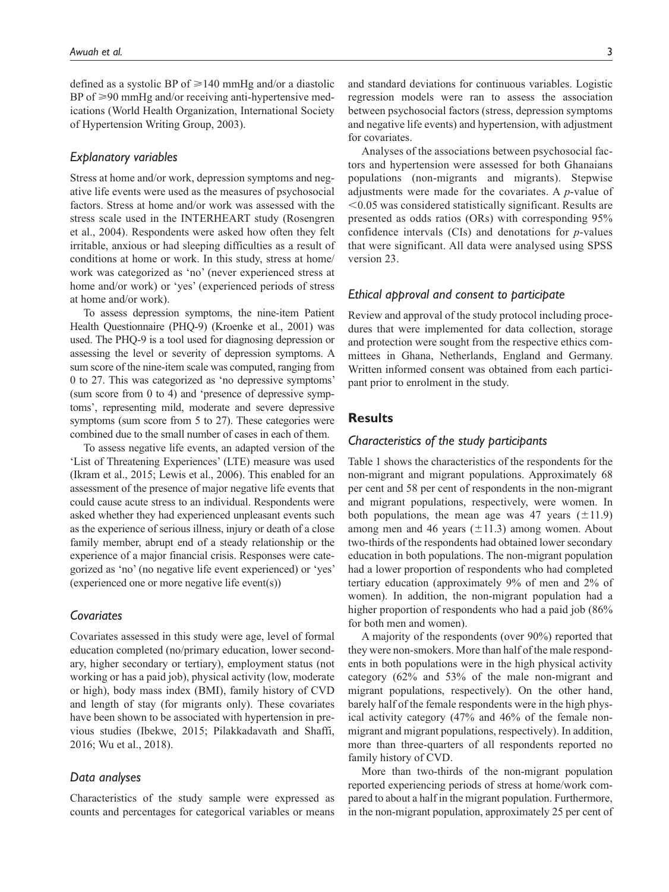defined as a systolic BP of  $\geq 140$  mmHg and/or a diastolic  $BP$  of  $\geq 90$  mmHg and/or receiving anti-hypertensive medications (World Health Organization, International Society of Hypertension Writing Group, 2003).

#### *Explanatory variables*

Stress at home and/or work, depression symptoms and negative life events were used as the measures of psychosocial factors. Stress at home and/or work was assessed with the stress scale used in the INTERHEART study (Rosengren et al., 2004). Respondents were asked how often they felt irritable, anxious or had sleeping difficulties as a result of conditions at home or work. In this study, stress at home/ work was categorized as 'no' (never experienced stress at home and/or work) or 'yes' (experienced periods of stress at home and/or work).

To assess depression symptoms, the nine-item Patient Health Questionnaire (PHQ-9) (Kroenke et al., 2001) was used. The PHQ-9 is a tool used for diagnosing depression or assessing the level or severity of depression symptoms. A sum score of the nine-item scale was computed, ranging from 0 to 27. This was categorized as 'no depressive symptoms' (sum score from 0 to 4) and 'presence of depressive symptoms', representing mild, moderate and severe depressive symptoms (sum score from 5 to 27). These categories were combined due to the small number of cases in each of them.

To assess negative life events, an adapted version of the 'List of Threatening Experiences' (LTE) measure was used (Ikram et al., 2015; Lewis et al., 2006). This enabled for an assessment of the presence of major negative life events that could cause acute stress to an individual. Respondents were asked whether they had experienced unpleasant events such as the experience of serious illness, injury or death of a close family member, abrupt end of a steady relationship or the experience of a major financial crisis. Responses were categorized as 'no' (no negative life event experienced) or 'yes' (experienced one or more negative life event(s))

## *Covariates*

Covariates assessed in this study were age, level of formal education completed (no/primary education, lower secondary, higher secondary or tertiary), employment status (not working or has a paid job), physical activity (low, moderate or high), body mass index (BMI), family history of CVD and length of stay (for migrants only). These covariates have been shown to be associated with hypertension in previous studies (Ibekwe, 2015; Pilakkadavath and Shaffi, 2016; Wu et al., 2018).

#### *Data analyses*

Characteristics of the study sample were expressed as counts and percentages for categorical variables or means and standard deviations for continuous variables. Logistic regression models were ran to assess the association between psychosocial factors (stress, depression symptoms and negative life events) and hypertension, with adjustment for covariates.

Analyses of the associations between psychosocial factors and hypertension were assessed for both Ghanaians populations (non-migrants and migrants). Stepwise adjustments were made for the covariates. A *p*-value of <0.05 was considered statistically significant. Results are presented as odds ratios (ORs) with corresponding 95% confidence intervals (CIs) and denotations for *p*-values that were significant. All data were analysed using SPSS version 23.

#### *Ethical approval and consent to participate*

Review and approval of the study protocol including procedures that were implemented for data collection, storage and protection were sought from the respective ethics committees in Ghana, Netherlands, England and Germany. Written informed consent was obtained from each participant prior to enrolment in the study.

## **Results**

## *Characteristics of the study participants*

Table 1 shows the characteristics of the respondents for the non-migrant and migrant populations. Approximately 68 per cent and 58 per cent of respondents in the non-migrant and migrant populations, respectively, were women. In both populations, the mean age was 47 years  $(\pm 11.9)$ among men and 46 years  $(\pm 11.3)$  among women. About two-thirds of the respondents had obtained lower secondary education in both populations. The non-migrant population had a lower proportion of respondents who had completed tertiary education (approximately 9% of men and 2% of women). In addition, the non-migrant population had a higher proportion of respondents who had a paid job (86%) for both men and women).

A majority of the respondents (over 90%) reported that they were non-smokers. More than half of the male respondents in both populations were in the high physical activity category (62% and 53% of the male non-migrant and migrant populations, respectively). On the other hand, barely half of the female respondents were in the high physical activity category (47% and 46% of the female nonmigrant and migrant populations, respectively). In addition, more than three-quarters of all respondents reported no family history of CVD.

More than two-thirds of the non-migrant population reported experiencing periods of stress at home/work compared to about a half in the migrant population. Furthermore, in the non-migrant population, approximately 25 per cent of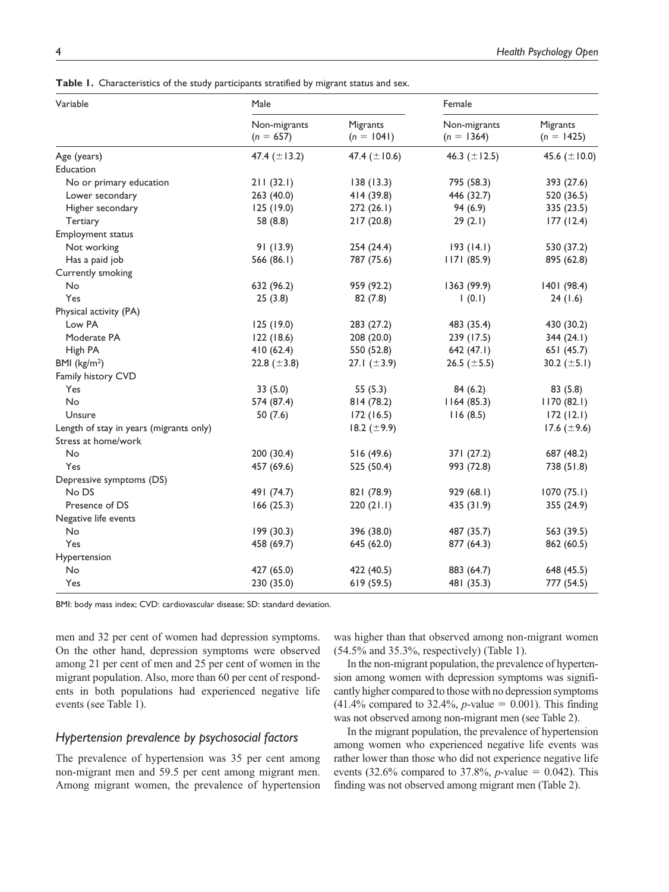**Table 1.** Characteristics of the study participants stratified by migrant status and sex.

| Variable                                | Male                        |                          | Female                       |                          |  |
|-----------------------------------------|-----------------------------|--------------------------|------------------------------|--------------------------|--|
|                                         | Non-migrants<br>$(n = 657)$ | Migrants<br>$(n = 1041)$ | Non-migrants<br>$(n = 1364)$ | Migrants<br>$(n = 1425)$ |  |
| Age (years)                             | 47.4 $(\pm 13.2)$           | 47.4 $(\pm 10.6)$        | 46.3 $(\pm 12.5)$            | 45.6 $(\pm 10.0)$        |  |
| Education                               |                             |                          |                              |                          |  |
| No or primary education                 | 211(32.1)                   | 138(13.3)                | 795 (58.3)                   | 393 (27.6)               |  |
| Lower secondary                         | 263 (40.0)                  | 414 (39.8)               | 446 (32.7)                   | 520 (36.5)               |  |
| Higher secondary                        | 125(19.0)                   | 272(26.1)                | 94 (6.9)                     | 335 (23.5)               |  |
| Tertiary                                | 58 (8.8)                    | 217(20.8)                | 29(2.1)                      | 177(12.4)                |  |
| Employment status                       |                             |                          |                              |                          |  |
| Not working                             | 91 (13.9)                   | 254 (24.4)               | 193(14.1)                    | 530 (37.2)               |  |
| Has a paid job                          | 566 (86.1)                  | 787 (75.6)               | 1171(85.9)                   | 895 (62.8)               |  |
| Currently smoking                       |                             |                          |                              |                          |  |
| No                                      | 632 (96.2)                  | 959 (92.2)               | 1363 (99.9)                  | 1401 (98.4)              |  |
| Yes                                     | 25(3.8)                     | 82(7.8)                  | 1(0.1)                       | 24(1.6)                  |  |
| Physical activity (PA)                  |                             |                          |                              |                          |  |
| Low PA                                  | 125 (19.0)                  | 283 (27.2)               | 483 (35.4)                   | 430 (30.2)               |  |
| Moderate PA                             | 122(18.6)                   | 208(20.0)                | 239 (17.5)                   | 344(24.1)                |  |
| High PA                                 | 410 (62.4)                  | 550 (52.8)               | 642 (47.1)                   | 651 (45.7)               |  |
| BMI $(kg/m2)$                           | 22.8 $(\pm 3.8)$            | 27.1 $(\pm 3.9)$         | 26.5 $(\pm 5.5)$             | 30.2 $(\pm 5.1)$         |  |
| Family history CVD                      |                             |                          |                              |                          |  |
| Yes                                     | 33(5.0)                     | 55(5.3)                  | 84 (6.2)                     | 83 (5.8)                 |  |
| No                                      | 574 (87.4)                  | 814 (78.2)               | 1164(85.3)                   | 1170(82.1)               |  |
| Unsure                                  | 50 $(7.6)$                  | 172(16.5)                | 116(8.5)                     | 172(12.1)                |  |
| Length of stay in years (migrants only) |                             | 18.2 $(\pm 9.9)$         |                              | 17.6 $(\pm 9.6)$         |  |
| Stress at home/work                     |                             |                          |                              |                          |  |
| No                                      | 200 (30.4)                  | 516 (49.6)               | 371 (27.2)                   | 687 (48.2)               |  |
| Yes                                     | 457 (69.6)                  | 525 (50.4)               | 993 (72.8)                   | 738 (51.8)               |  |
| Depressive symptoms (DS)                |                             |                          |                              |                          |  |
| No DS                                   | 491 (74.7)                  | 821 (78.9)               | 929(68.1)                    | 1070(75.1)               |  |
| Presence of DS                          | 166(25.3)                   | 220(21.1)                | 435 (31.9)                   | 355 (24.9)               |  |
| Negative life events                    |                             |                          |                              |                          |  |
| No                                      | 199 (30.3)                  | 396 (38.0)               | 487 (35.7)                   | 563 (39.5)               |  |
| Yes                                     | 458 (69.7)                  | 645 (62.0)               | 877 (64.3)                   | 862 (60.5)               |  |
| Hypertension                            |                             |                          |                              |                          |  |
| No                                      | 427 (65.0)                  | 422 (40.5)               | 883 (64.7)                   | 648 (45.5)               |  |
| Yes                                     | 230 (35.0)                  | 619 (59.5)               | 481 (35.3)                   | 777 (54.5)               |  |

BMI: body mass index; CVD: cardiovascular disease; SD: standard deviation.

men and 32 per cent of women had depression symptoms. On the other hand, depression symptoms were observed among 21 per cent of men and 25 per cent of women in the migrant population. Also, more than 60 per cent of respondents in both populations had experienced negative life events (see Table 1).

## *Hypertension prevalence by psychosocial factors*

The prevalence of hypertension was 35 per cent among non-migrant men and 59.5 per cent among migrant men. Among migrant women, the prevalence of hypertension was higher than that observed among non-migrant women (54.5% and 35.3%, respectively) (Table 1).

In the non-migrant population, the prevalence of hypertension among women with depression symptoms was significantly higher compared to those with no depression symptoms  $(41.4\%$  compared to 32.4%, *p*-value = 0.001). This finding was not observed among non-migrant men (see Table 2).

In the migrant population, the prevalence of hypertension among women who experienced negative life events was rather lower than those who did not experience negative life events (32.6% compared to 37.8%, *p*-value = 0.042). This finding was not observed among migrant men (Table 2).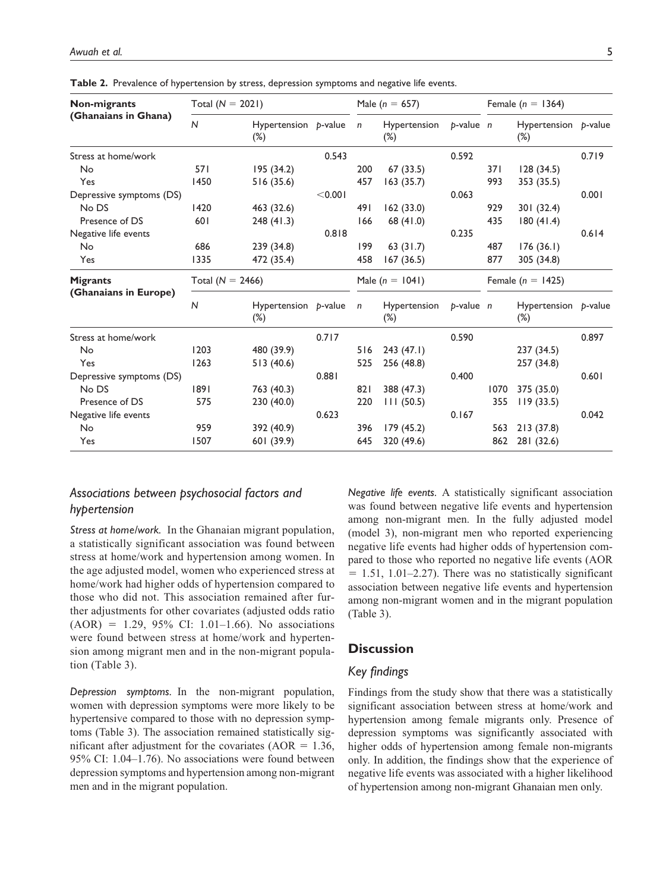| Non-migrants<br>(Ghanaians in Ghana) | Total $(N = 2021)$   |                                |                   | Male ( $n = 657$ ) |                        |                | Female ( $n = 1364$ ) |                                |       |
|--------------------------------------|----------------------|--------------------------------|-------------------|--------------------|------------------------|----------------|-----------------------|--------------------------------|-------|
|                                      | $\mathsf{N}$         | Hypertension p-value<br>$(\%)$ |                   | $\sqrt{n}$         | Hypertension<br>$(\%)$ | $b$ -value $n$ |                       | Hypertension p-value<br>$(\%)$ |       |
| Stress at home/work                  |                      |                                | 0.543             |                    |                        | 0.592          |                       |                                | 0.719 |
| No                                   | 571                  | 195 (34.2)                     |                   | 200                | 67(33.5)               |                | 371                   | 128 (34.5)                     |       |
| Yes                                  | 1450                 | 516 (35.6)                     |                   | 457                | 163 (35.7)             |                | 993                   | 353 (35.5)                     |       |
| Depressive symptoms (DS)             |                      |                                | < 0.001           |                    |                        | 0.063          |                       |                                | 0.001 |
| No DS                                | 1420                 | 463 (32.6)                     |                   | 491                | 162 (33.0)             |                | 929                   | 301 (32.4)                     |       |
| Presence of DS                       | 601                  | 248(41.3)                      |                   | 166                | 68 (41.0)              |                | 435                   | 180(41.4)                      |       |
| Negative life events                 |                      |                                | 0.818             |                    |                        | 0.235          |                       |                                | 0.614 |
| No                                   | 686                  | 239 (34.8)                     |                   | 199                | 63(31.7)               |                | 487                   | 176(36.1)                      |       |
| Yes                                  | 1335                 | 472 (35.4)                     |                   | 458                | 167 (36.5)             |                | 877                   | 305 (34.8)                     |       |
| <b>Migrants</b>                      | Total ( $N = 2466$ ) |                                | Male $(n = 1041)$ |                    | Female $(n = 1425)$    |                |                       |                                |       |
| (Ghanaians in Europe)                | N                    | Hypertension p-value<br>$(\%)$ |                   | $\sqrt{n}$         | Hypertension<br>$(\%)$ | $b$ -value $n$ |                       | Hypertension p-value<br>$(\%)$ |       |
| Stress at home/work                  |                      |                                | 0.717             |                    |                        | 0.590          |                       |                                | 0.897 |
| No                                   | 1203                 | 480 (39.9)                     |                   | 516                | 243(47.1)              |                |                       | 237 (34.5)                     |       |
| Yes                                  | 1263                 | 513 (40.6)                     |                   | 525                | 256 (48.8)             |                |                       | 257 (34.8)                     |       |
| Depressive symptoms (DS)             |                      |                                | 0.881             |                    |                        | 0.400          |                       |                                | 0.601 |
| No DS                                | 1891                 | 763 (40.3)                     |                   | 821                | 388 (47.3)             |                | 1070                  | 375 (35.0)                     |       |
| Presence of DS                       | 575                  | 230 (40.0)                     |                   | 220                | 111(50.5)              |                | 355                   | 119(33.5)                      |       |
| Negative life events                 |                      |                                | 0.623             |                    |                        | 0.167          |                       |                                | 0.042 |
| No                                   | 959                  | 392 (40.9)                     |                   | 396                | 179(45.2)              |                | 563                   | 213(37.8)                      |       |
| Yes                                  | 1507                 | 601 (39.9)                     |                   | 645                | 320 (49.6)             |                | 862                   | 281 (32.6)                     |       |

**Table 2.** Prevalence of hypertension by stress, depression symptoms and negative life events.

## *Associations between psychosocial factors and hypertension*

*Stress at home/work.* In the Ghanaian migrant population, a statistically significant association was found between stress at home/work and hypertension among women. In the age adjusted model, women who experienced stress at home/work had higher odds of hypertension compared to those who did not. This association remained after further adjustments for other covariates (adjusted odds ratio  $(AOR) = 1.29, 95\% \text{ CI: } 1.01-1.66$ . No associations were found between stress at home/work and hypertension among migrant men and in the non-migrant population (Table 3).

*Depression symptoms.* In the non-migrant population, women with depression symptoms were more likely to be hypertensive compared to those with no depression symptoms (Table 3). The association remained statistically significant after adjustment for the covariates ( $AOR = 1.36$ , 95% CI: 1.04–1.76). No associations were found between depression symptoms and hypertension among non-migrant men and in the migrant population.

*Negative life events.* A statistically significant association was found between negative life events and hypertension among non-migrant men. In the fully adjusted model (model 3), non-migrant men who reported experiencing negative life events had higher odds of hypertension compared to those who reported no negative life events (AOR  $= 1.51, 1.01 - 2.27$ . There was no statistically significant association between negative life events and hypertension among non-migrant women and in the migrant population (Table 3).

## **Discussion**

## *Key findings*

Findings from the study show that there was a statistically significant association between stress at home/work and hypertension among female migrants only. Presence of depression symptoms was significantly associated with higher odds of hypertension among female non-migrants only. In addition, the findings show that the experience of negative life events was associated with a higher likelihood of hypertension among non-migrant Ghanaian men only.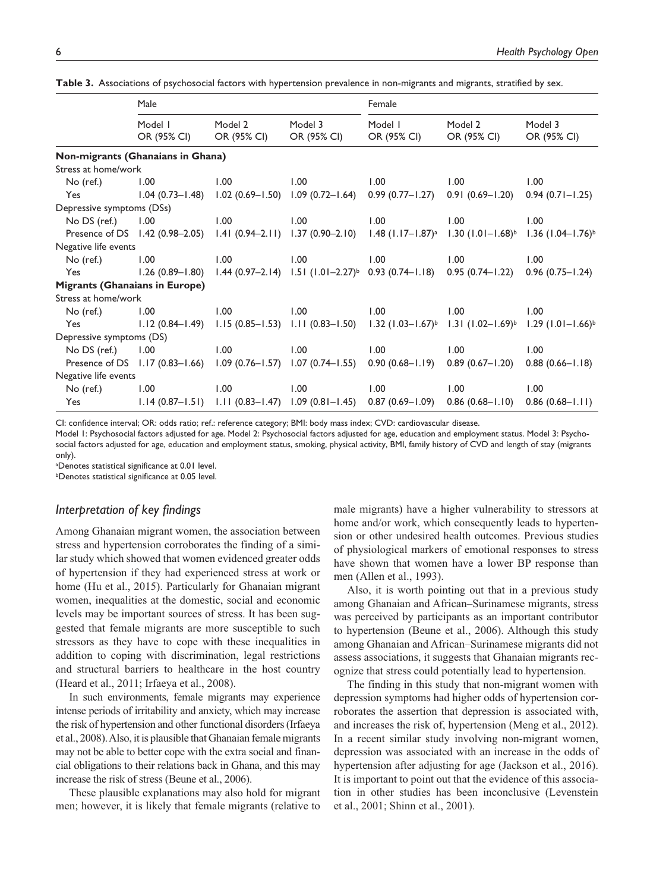|                                       | Male                            |                        |                                                                   | Female                                                                                         |                                                               |                                 |  |
|---------------------------------------|---------------------------------|------------------------|-------------------------------------------------------------------|------------------------------------------------------------------------------------------------|---------------------------------------------------------------|---------------------------------|--|
|                                       | Model I<br>OR (95% CI)          | Model 2<br>OR (95% CI) | Model 3<br>OR (95% CI)                                            | Model I<br>OR (95% CI)                                                                         | Model 2<br>OR (95% CI)                                        | Model 3<br>OR (95% CI)          |  |
| Non-migrants (Ghanaians in Ghana)     |                                 |                        |                                                                   |                                                                                                |                                                               |                                 |  |
| Stress at home/work                   |                                 |                        |                                                                   |                                                                                                |                                                               |                                 |  |
| No (ref.)                             | 1.00                            | 1.00                   | 1.00                                                              | 1.00                                                                                           | 1.00                                                          | 1.00                            |  |
| Yes                                   | $1.04(0.73 - 1.48)$             |                        | $1.02$ (0.69-1.50) $1.09$ (0.72-1.64)                             | $0.99(0.77 - 1.27)$                                                                            | $0.91(0.69 - 1.20)$                                           | $0.94(0.71 - 1.25)$             |  |
| Depressive symptoms (DSs)             |                                 |                        |                                                                   |                                                                                                |                                                               |                                 |  |
| No DS (ref.)                          | 1.00                            | 1.00                   | 1.00                                                              | 1.00                                                                                           | 1.00                                                          | 1.00                            |  |
|                                       | Presence of DS 1.42 (0.98-2.05) |                        | $1.41(0.94-2.11)$ $1.37(0.90-2.10)$                               | $1.48$ (1.17–1.87) <sup>a</sup>                                                                | $1.30 (1.01 - 1.68)^{b}$                                      | 1.36 $(1.04 - 1.76)^{b}$        |  |
| Negative life events                  |                                 |                        |                                                                   |                                                                                                |                                                               |                                 |  |
| No (ref.)                             | 1.00                            | 1.00                   | 1.00                                                              | 1.00                                                                                           | 1.00                                                          | 1.00                            |  |
| Yes                                   | $1.26(0.89 - 1.80)$             |                        | $1.44$ (0.97-2.14) 1.51 (1.01-2.27) <sup>b</sup> 0.93 (0.74-1.18) |                                                                                                | $0.95(0.74 - 1.22)$                                           | $0.96(0.75 - 1.24)$             |  |
| <b>Migrants (Ghanaians in Europe)</b> |                                 |                        |                                                                   |                                                                                                |                                                               |                                 |  |
| Stress at home/work                   |                                 |                        |                                                                   |                                                                                                |                                                               |                                 |  |
| No (ref.)                             | 1.00                            | 1.00                   | 1.00                                                              | 1.00                                                                                           | 1.00                                                          | 1.00                            |  |
| <b>Yes</b>                            | $1.12(0.84 - 1.49)$             |                        | $1.15(0.85-1.53)$ $1.11(0.83-1.50)$                               |                                                                                                | $1.32$ (1.03–1.67) <sup>b</sup> 1.31 (1.02–1.69) <sup>b</sup> | $1.29$ (1.01-1.66) <sup>b</sup> |  |
| Depressive symptoms (DS)              |                                 |                        |                                                                   |                                                                                                |                                                               |                                 |  |
| No DS (ref.)                          | 1.00                            | 1.00                   | 1.00                                                              | 1.00                                                                                           | 1.00                                                          | 1.00                            |  |
|                                       | Presence of DS 1.17 (0.83–1.66) |                        | $1.09$ (0.76-1.57) 1.07 (0.74-1.55)                               | $0.90(0.68 - 1.19)$                                                                            | $0.89(0.67 - 1.20)$                                           | $0.88(0.66 - 1.18)$             |  |
| Negative life events                  |                                 |                        |                                                                   |                                                                                                |                                                               |                                 |  |
| $No$ (ref.)                           | 1.00                            | 1.00                   | 1.00                                                              | 1.00                                                                                           | 1.00                                                          | 1.00                            |  |
| Yes                                   |                                 |                        |                                                                   | $1.14 (0.87-1.51)$ $1.11 (0.83-1.47)$ $1.09 (0.81-1.45)$ $0.87 (0.69-1.09)$ $0.86 (0.68-1.10)$ |                                                               | $0.86(0.68 - 1.11)$             |  |

**Table 3.** Associations of psychosocial factors with hypertension prevalence in non-migrants and migrants, stratified by sex.

CI: confidence interval; OR: odds ratio; ref.: reference category; BMI: body mass index; CVD: cardiovascular disease.

Model 1: Psychosocial factors adjusted for age. Model 2: Psychosocial factors adjusted for age, education and employment status. Model 3: Psychosocial factors adjusted for age, education and employment status, smoking, physical activity, BMI, family history of CVD and length of stay (migrants only).

a Denotes statistical significance at 0.01 level.

**bDenotes statistical significance at 0.05 level.** 

## *Interpretation of key findings*

Among Ghanaian migrant women, the association between stress and hypertension corroborates the finding of a similar study which showed that women evidenced greater odds of hypertension if they had experienced stress at work or home (Hu et al., 2015). Particularly for Ghanaian migrant women, inequalities at the domestic, social and economic levels may be important sources of stress. It has been suggested that female migrants are more susceptible to such stressors as they have to cope with these inequalities in addition to coping with discrimination, legal restrictions and structural barriers to healthcare in the host country (Heard et al., 2011; Irfaeya et al., 2008).

In such environments, female migrants may experience intense periods of irritability and anxiety, which may increase the risk of hypertension and other functional disorders (Irfaeya et al., 2008). Also, it is plausible that Ghanaian female migrants may not be able to better cope with the extra social and financial obligations to their relations back in Ghana, and this may increase the risk of stress (Beune et al., 2006).

These plausible explanations may also hold for migrant men; however, it is likely that female migrants (relative to male migrants) have a higher vulnerability to stressors at home and/or work, which consequently leads to hypertension or other undesired health outcomes. Previous studies of physiological markers of emotional responses to stress have shown that women have a lower BP response than men (Allen et al., 1993).

Also, it is worth pointing out that in a previous study among Ghanaian and African–Surinamese migrants, stress was perceived by participants as an important contributor to hypertension (Beune et al., 2006). Although this study among Ghanaian and African–Surinamese migrants did not assess associations, it suggests that Ghanaian migrants recognize that stress could potentially lead to hypertension.

The finding in this study that non-migrant women with depression symptoms had higher odds of hypertension corroborates the assertion that depression is associated with, and increases the risk of, hypertension (Meng et al., 2012). In a recent similar study involving non-migrant women, depression was associated with an increase in the odds of hypertension after adjusting for age (Jackson et al., 2016). It is important to point out that the evidence of this association in other studies has been inconclusive (Levenstein et al., 2001; Shinn et al., 2001).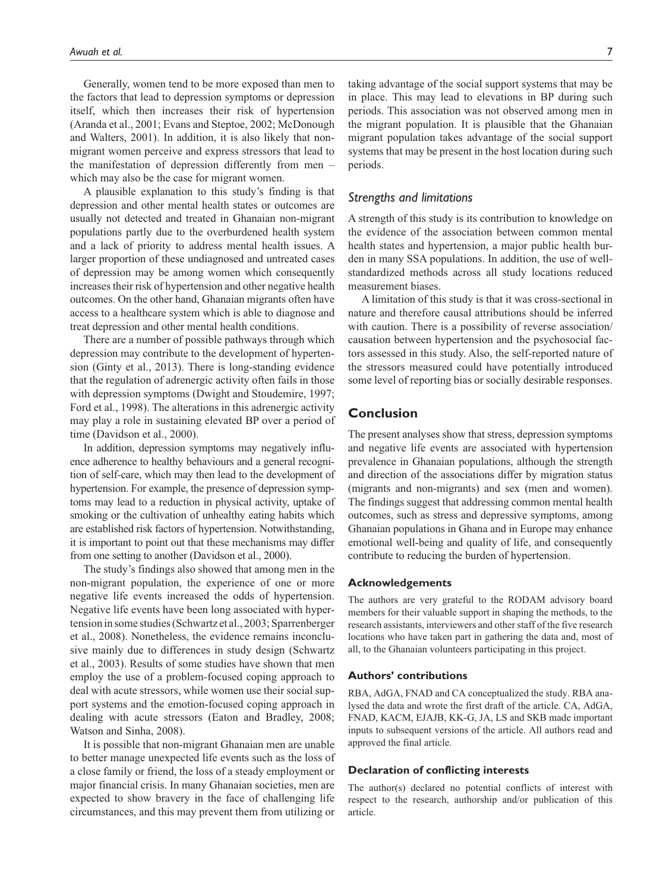Generally, women tend to be more exposed than men to the factors that lead to depression symptoms or depression itself, which then increases their risk of hypertension (Aranda et al., 2001; Evans and Steptoe, 2002; McDonough and Walters, 2001). In addition, it is also likely that nonmigrant women perceive and express stressors that lead to the manifestation of depression differently from men – which may also be the case for migrant women.

A plausible explanation to this study's finding is that depression and other mental health states or outcomes are usually not detected and treated in Ghanaian non-migrant populations partly due to the overburdened health system and a lack of priority to address mental health issues. A larger proportion of these undiagnosed and untreated cases of depression may be among women which consequently increases their risk of hypertension and other negative health outcomes. On the other hand, Ghanaian migrants often have access to a healthcare system which is able to diagnose and treat depression and other mental health conditions.

There are a number of possible pathways through which depression may contribute to the development of hypertension (Ginty et al., 2013). There is long-standing evidence that the regulation of adrenergic activity often fails in those with depression symptoms (Dwight and Stoudemire, 1997; Ford et al., 1998). The alterations in this adrenergic activity may play a role in sustaining elevated BP over a period of time (Davidson et al., 2000).

In addition, depression symptoms may negatively influence adherence to healthy behaviours and a general recognition of self-care, which may then lead to the development of hypertension. For example, the presence of depression symptoms may lead to a reduction in physical activity, uptake of smoking or the cultivation of unhealthy eating habits which are established risk factors of hypertension. Notwithstanding, it is important to point out that these mechanisms may differ from one setting to another (Davidson et al., 2000).

The study's findings also showed that among men in the non-migrant population, the experience of one or more negative life events increased the odds of hypertension. Negative life events have been long associated with hypertension in some studies (Schwartz et al., 2003; Sparrenberger et al., 2008). Nonetheless, the evidence remains inconclusive mainly due to differences in study design (Schwartz et al., 2003). Results of some studies have shown that men employ the use of a problem-focused coping approach to deal with acute stressors, while women use their social support systems and the emotion-focused coping approach in dealing with acute stressors (Eaton and Bradley, 2008; Watson and Sinha, 2008).

It is possible that non-migrant Ghanaian men are unable to better manage unexpected life events such as the loss of a close family or friend, the loss of a steady employment or major financial crisis. In many Ghanaian societies, men are expected to show bravery in the face of challenging life circumstances, and this may prevent them from utilizing or

taking advantage of the social support systems that may be in place. This may lead to elevations in BP during such periods. This association was not observed among men in the migrant population. It is plausible that the Ghanaian migrant population takes advantage of the social support systems that may be present in the host location during such periods.

## *Strengths and limitations*

A strength of this study is its contribution to knowledge on the evidence of the association between common mental health states and hypertension, a major public health burden in many SSA populations. In addition, the use of wellstandardized methods across all study locations reduced measurement biases.

A limitation of this study is that it was cross-sectional in nature and therefore causal attributions should be inferred with caution. There is a possibility of reverse association/ causation between hypertension and the psychosocial factors assessed in this study. Also, the self-reported nature of the stressors measured could have potentially introduced some level of reporting bias or socially desirable responses.

## **Conclusion**

The present analyses show that stress, depression symptoms and negative life events are associated with hypertension prevalence in Ghanaian populations, although the strength and direction of the associations differ by migration status (migrants and non-migrants) and sex (men and women). The findings suggest that addressing common mental health outcomes, such as stress and depressive symptoms, among Ghanaian populations in Ghana and in Europe may enhance emotional well-being and quality of life, and consequently contribute to reducing the burden of hypertension.

#### **Acknowledgements**

The authors are very grateful to the RODAM advisory board members for their valuable support in shaping the methods, to the research assistants, interviewers and other staff of the five research locations who have taken part in gathering the data and, most of all, to the Ghanaian volunteers participating in this project.

#### **Authors' contributions**

RBA, AdGA, FNAD and CA conceptualized the study. RBA analysed the data and wrote the first draft of the article. CA, AdGA, FNAD, KACM, EJAJB, KK-G, JA, LS and SKB made important inputs to subsequent versions of the article. All authors read and approved the final article.

#### **Declaration of conflicting interests**

The author(s) declared no potential conflicts of interest with respect to the research, authorship and/or publication of this article.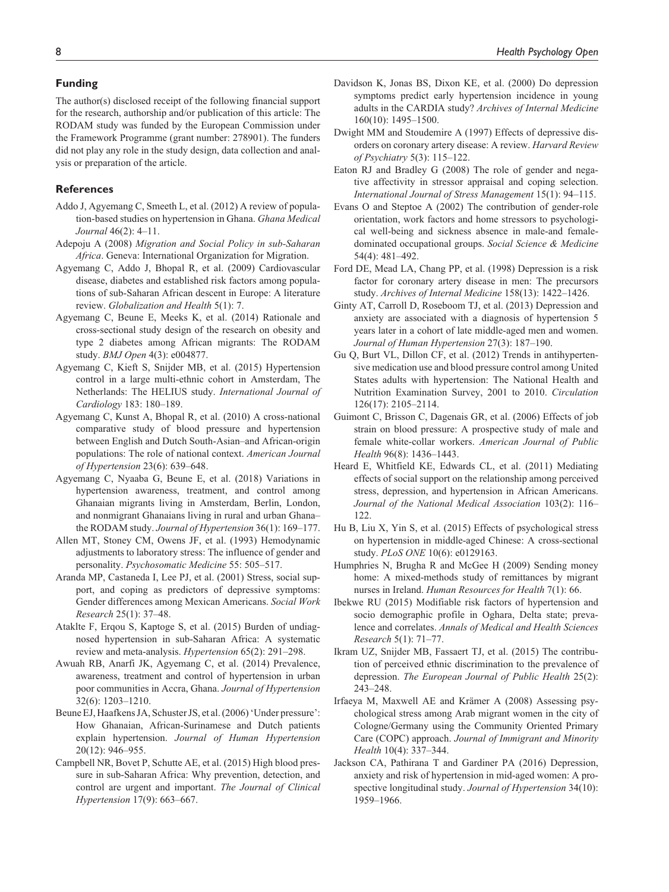#### **Funding**

The author(s) disclosed receipt of the following financial support for the research, authorship and/or publication of this article: The RODAM study was funded by the European Commission under the Framework Programme (grant number: 278901). The funders did not play any role in the study design, data collection and analysis or preparation of the article.

#### **References**

- Addo J, Agyemang C, Smeeth L, et al. (2012) A review of population-based studies on hypertension in Ghana. *Ghana Medical Journal* 46(2): 4–11.
- Adepoju A (2008) *Migration and Social Policy in sub-Saharan Africa*. Geneva: International Organization for Migration.
- Agyemang C, Addo J, Bhopal R, et al. (2009) Cardiovascular disease, diabetes and established risk factors among populations of sub-Saharan African descent in Europe: A literature review. *Globalization and Health* 5(1): 7.
- Agyemang C, Beune E, Meeks K, et al. (2014) Rationale and cross-sectional study design of the research on obesity and type 2 diabetes among African migrants: The RODAM study. *BMJ Open* 4(3): e004877.
- Agyemang C, Kieft S, Snijder MB, et al. (2015) Hypertension control in a large multi-ethnic cohort in Amsterdam, The Netherlands: The HELIUS study. *International Journal of Cardiology* 183: 180–189.
- Agyemang C, Kunst A, Bhopal R, et al. (2010) A cross-national comparative study of blood pressure and hypertension between English and Dutch South-Asian–and African-origin populations: The role of national context. *American Journal of Hypertension* 23(6): 639–648.
- Agyemang C, Nyaaba G, Beune E, et al. (2018) Variations in hypertension awareness, treatment, and control among Ghanaian migrants living in Amsterdam, Berlin, London, and nonmigrant Ghanaians living in rural and urban Ghana– the RODAM study. *Journal of Hypertension* 36(1): 169–177.
- Allen MT, Stoney CM, Owens JF, et al. (1993) Hemodynamic adjustments to laboratory stress: The influence of gender and personality. *Psychosomatic Medicine* 55: 505–517.
- Aranda MP, Castaneda I, Lee PJ, et al. (2001) Stress, social support, and coping as predictors of depressive symptoms: Gender differences among Mexican Americans. *Social Work Research* 25(1): 37–48.
- Ataklte F, Erqou S, Kaptoge S, et al. (2015) Burden of undiagnosed hypertension in sub-Saharan Africa: A systematic review and meta-analysis. *Hypertension* 65(2): 291–298.
- Awuah RB, Anarfi JK, Agyemang C, et al. (2014) Prevalence, awareness, treatment and control of hypertension in urban poor communities in Accra, Ghana. *Journal of Hypertension* 32(6): 1203–1210.
- Beune EJ, Haafkens JA, Schuster JS, et al. (2006) 'Under pressure': How Ghanaian, African-Surinamese and Dutch patients explain hypertension. *Journal of Human Hypertension* 20(12): 946–955.
- Campbell NR, Bovet P, Schutte AE, et al. (2015) High blood pressure in sub-Saharan Africa: Why prevention, detection, and control are urgent and important. *The Journal of Clinical Hypertension* 17(9): 663–667.
- Davidson K, Jonas BS, Dixon KE, et al. (2000) Do depression symptoms predict early hypertension incidence in young adults in the CARDIA study? *Archives of Internal Medicine* 160(10): 1495–1500.
- Dwight MM and Stoudemire A (1997) Effects of depressive disorders on coronary artery disease: A review. *Harvard Review of Psychiatry* 5(3): 115–122.
- Eaton RJ and Bradley G (2008) The role of gender and negative affectivity in stressor appraisal and coping selection. *International Journal of Stress Management* 15(1): 94–115.
- Evans O and Steptoe A (2002) The contribution of gender-role orientation, work factors and home stressors to psychological well-being and sickness absence in male-and femaledominated occupational groups. *Social Science & Medicine* 54(4): 481–492.
- Ford DE, Mead LA, Chang PP, et al. (1998) Depression is a risk factor for coronary artery disease in men: The precursors study. *Archives of Internal Medicine* 158(13): 1422–1426.
- Ginty AT, Carroll D, Roseboom TJ, et al. (2013) Depression and anxiety are associated with a diagnosis of hypertension 5 years later in a cohort of late middle-aged men and women. *Journal of Human Hypertension* 27(3): 187–190.
- Gu Q, Burt VL, Dillon CF, et al. (2012) Trends in antihypertensive medication use and blood pressure control among United States adults with hypertension: The National Health and Nutrition Examination Survey, 2001 to 2010. *Circulation* 126(17): 2105–2114.
- Guimont C, Brisson C, Dagenais GR, et al. (2006) Effects of job strain on blood pressure: A prospective study of male and female white-collar workers. *American Journal of Public Health* 96(8): 1436–1443.
- Heard E, Whitfield KE, Edwards CL, et al. (2011) Mediating effects of social support on the relationship among perceived stress, depression, and hypertension in African Americans. *Journal of the National Medical Association* 103(2): 116– 122.
- Hu B, Liu X, Yin S, et al. (2015) Effects of psychological stress on hypertension in middle-aged Chinese: A cross-sectional study. *PLoS ONE* 10(6): e0129163.
- Humphries N, Brugha R and McGee H (2009) Sending money home: A mixed-methods study of remittances by migrant nurses in Ireland. *Human Resources for Health* 7(1): 66.
- Ibekwe RU (2015) Modifiable risk factors of hypertension and socio demographic profile in Oghara, Delta state; prevalence and correlates. *Annals of Medical and Health Sciences Research* 5(1): 71–77.
- Ikram UZ, Snijder MB, Fassaert TJ, et al. (2015) The contribution of perceived ethnic discrimination to the prevalence of depression. *The European Journal of Public Health* 25(2): 243–248.
- Irfaeya M, Maxwell AE and Krämer A (2008) Assessing psychological stress among Arab migrant women in the city of Cologne/Germany using the Community Oriented Primary Care (COPC) approach. *Journal of Immigrant and Minority Health* 10(4): 337–344.
- Jackson CA, Pathirana T and Gardiner PA (2016) Depression, anxiety and risk of hypertension in mid-aged women: A prospective longitudinal study. *Journal of Hypertension* 34(10): 1959–1966.